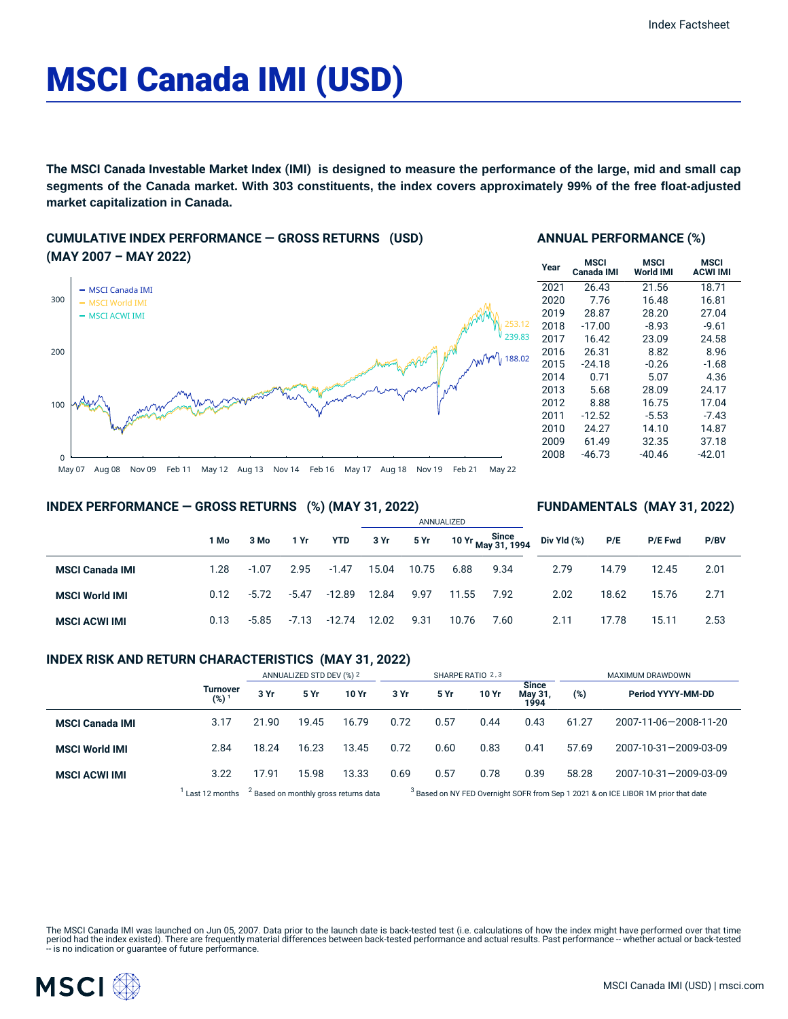# MSCI Canada IMI (USD)

**The MSCI Canada Investable Market Index (IMI) is designed to measure the performance of the large, mid and small cap segments of the Canada market. With 303 constituents, the index covers approximately 99% of the free float-adjusted market capitalization in Canada.**

### **CUMULATIVE INDEX PERFORMANCE — GROSS RETURNS (USD) (MAY 2007 – MAY 2022)**



#### **ANNUAL PERFORMANCE (%)**

| Year | MSCI<br>Canada IMI | MSCI<br><b>World IMI</b> | MSCI<br><b>ACWI IMI</b> |
|------|--------------------|--------------------------|-------------------------|
| 2021 | 26.43              | 21.56                    | 18.71                   |
| 2020 | 7.76               | 16.48                    | 16.81                   |
| 2019 | 28.87              | 28.20                    | 27.04                   |
| 2018 | $-17.00$           | $-8.93$                  | $-9.61$                 |
| 2017 | 16.42              | 23.09                    | 24.58                   |
| 2016 | 26.31              | 8.82                     | 8.96                    |
| 2015 | $-24.18$           | $-0.26$                  | $-1.68$                 |
| 2014 | 0.71               | 5.07                     | 4.36                    |
| 2013 | 5.68               | 28.09                    | 24.17                   |
| 2012 | 8.88               | 16.75                    | 17.04                   |
| 2011 | $-12.52$           | $-5.53$                  | $-7.43$                 |
| 2010 | 24.27              | 14.10                    | 14.87                   |
| 2009 | 61.49              | 32.35                    | 37.18                   |
| 2008 | $-46.73$           | $-40.46$                 | $-42.01$                |

**FUNDAMENTALS (MAY 31, 2022)**

#### May 07 Aug 08 Nov 09 Feb 11 May 12 Aug 13 Nov 14 Feb 16 May 17 Aug 18 Nov 19 Feb 21 May 22

#### **INDEX PERFORMANCE — GROSS RETURNS (%) (MAY 31, 2022)**

#### ANNUALIZED **1 Mo 3 Mo 1 Yr YTD 3 Yr 5 Yr 10 Yr Since May 31, 1994 MSCI Canada IMI** 1.28 -1.07 2.95 -1.47 15.04 10.75 6.88 9.34 **MSCI World IMI** 0.12 -5.72 -5.47 -12.89 12.84 9.97 11.55 7.92 **MSCI ACWI IMI** 0.13 -5.85 -7.13 -12.74 12.02 9.31 10.76 7.60 **Div Yld (%) P/E P/E Fwd P/BV** 2.79 14.79 12.45 2.01 2.02 18.62 15.76 2.71 2.11 17.78 15.11 2.53

#### **INDEX RISK AND RETURN CHARACTERISTICS (MAY 31, 2022)**

|                        |                              | ANNUALIZED STD DEV (%) 2 |       | SHARPE RATIO 2,3                                 |      |      |       | MAXIMUM DRAWDOWN                |       |                                                                                               |
|------------------------|------------------------------|--------------------------|-------|--------------------------------------------------|------|------|-------|---------------------------------|-------|-----------------------------------------------------------------------------------------------|
|                        | Turnover<br>(%) <sup>1</sup> | 3 Yr                     | 5 Yr  | 10 Yr                                            | 3 Yr | 5 Yr | 10 Yr | <b>Since</b><br>May 31,<br>1994 | (%)   | Period YYYY-MM-DD                                                                             |
| <b>MSCI Canada IMI</b> | 3.17                         | 21.90                    | 19.45 | 16.79                                            | 0.72 | 0.57 | 0.44  | 0.43                            | 61.27 | 2007-11-06-2008-11-20                                                                         |
| <b>MSCI World IMI</b>  | 2.84                         | 18.24                    | 16.23 | 13.45                                            | 0.72 | 0.60 | 0.83  | 0.41                            | 57.69 | 2007-10-31-2009-03-09                                                                         |
| <b>MSCI ACWI IMI</b>   | 3.22                         | 17.91                    | 15.98 | 13.33                                            | 0.69 | 0.57 | 0.78  | 0.39                            | 58.28 | 2007-10-31-2009-03-09                                                                         |
|                        | Last 12 months               |                          |       | <sup>2</sup> Based on monthly gross returns data |      |      |       |                                 |       | <sup>3</sup> Based on NY FED Overnight SOFR from Sep 1 2021 & on ICE LIBOR 1M prior that date |

The MSCI Canada IMI was launched on Jun 05, 2007. Data prior to the launch date is back-tested test (i.e. calculations of how the index might have performed over that time<br>period had the index existed). There are frequentl

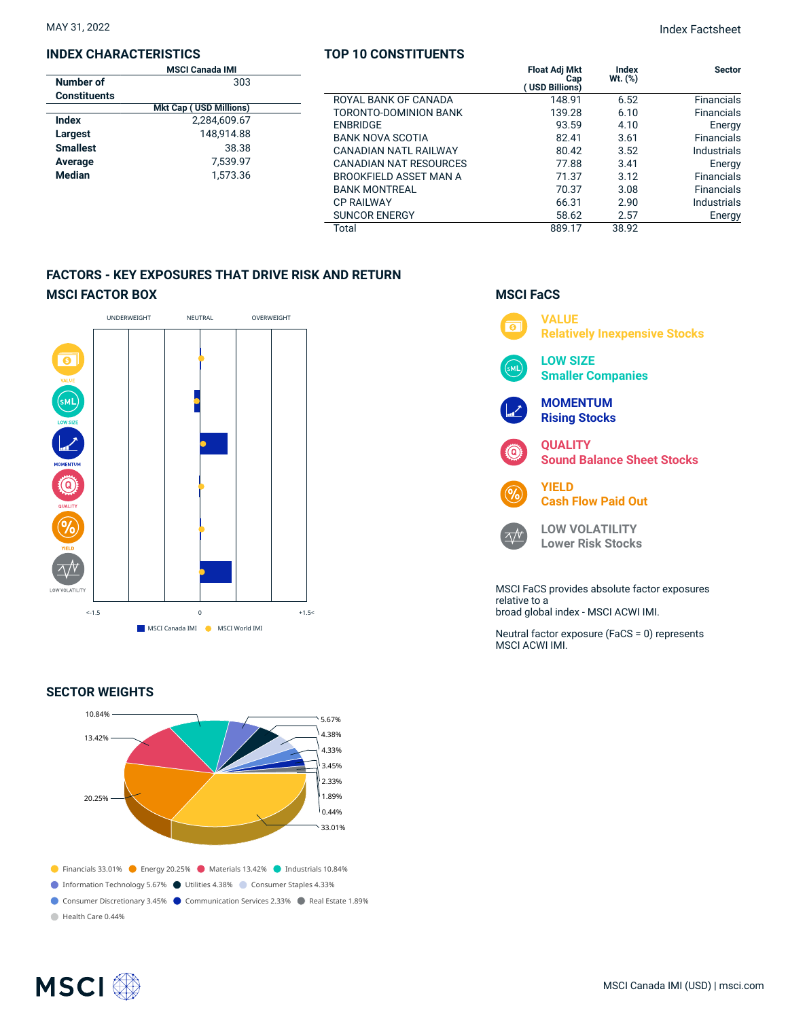#### **INDEX CHARACTERISTICS**

|                     | <b>MSCI Canada IMI</b>        |                               | <b>Float Adi Mkt</b>  | Index     | <b>Sector</b>     |
|---------------------|-------------------------------|-------------------------------|-----------------------|-----------|-------------------|
| Number of           | 303                           |                               | Cap<br>(USD Billions) | $Wt.$ (%) |                   |
| <b>Constituents</b> |                               | ROYAL BANK OF CANADA          | 148.91                | 6.52      | <b>Financials</b> |
|                     | <b>Mkt Cap (USD Millions)</b> | TORONTO-DOMINION BANK         | 139.28                | 6.10      | <b>Financials</b> |
| <b>Index</b>        | 2,284,609.67                  | <b>ENBRIDGE</b>               | 93.59                 | 4.10      | Energy            |
| Largest             | 148.914.88                    | <b>BANK NOVA SCOTIA</b>       | 82.41                 | 3.61      | <b>Financials</b> |
| <b>Smallest</b>     | 38.38                         | CANADIAN NATL RAILWAY         | 80.42                 | 3.52      | Industrials       |
| Average             | 7.539.97                      | <b>CANADIAN NAT RESOURCES</b> | 77.88                 | 3.41      | Energy            |
| <b>Median</b>       | 1,573.36                      | BROOKFIELD ASSET MAN A        | 71.37                 | 3.12      | <b>Financials</b> |
|                     |                               | <b>BANK MONTREAL</b>          | 70.37                 | 3.08      | <b>Financials</b> |
|                     |                               | <b>CP RAILWAY</b>             | 66.31                 | 2.90      | Industrials       |
|                     |                               | <b>SUNCOR ENERGY</b>          | 58.62                 | 2.57      | Energy            |
|                     |                               | Total                         | 889.17                | 38.92     |                   |

**TOP 10 CONSTITUENTS**

## **FACTORS - KEY EXPOSURES THAT DRIVE RISK AND RETURN MSCI FACTOR BOX**



#### **SECTOR WEIGHTS**



# **MSCI FaCS**



relative to a broad global index - MSCI ACWI IMI.

Neutral factor exposure (FaCS = 0) represents MSCI ACWI IMI.